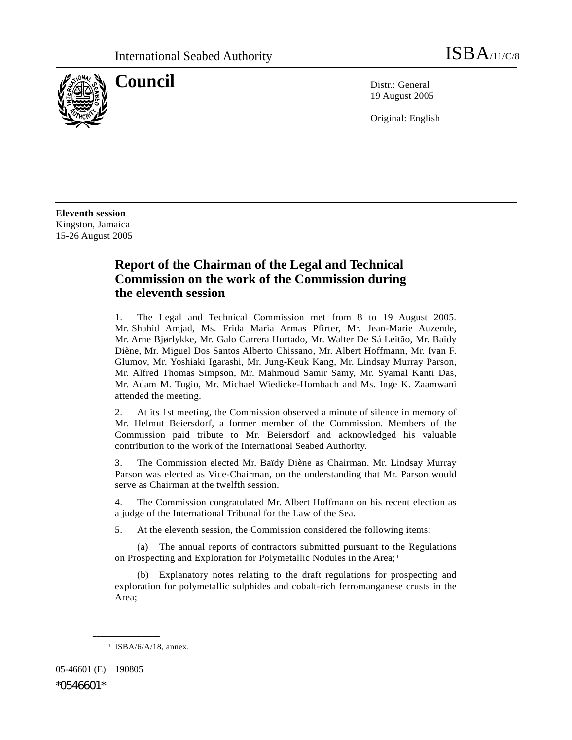

**Council** Distribution Distribution Distribution Distribution Distribution Distribution Distribution Distribution Distribution Distribution Distribution Distribution Distribution Distribution Distribution Distribution Dist 19 August 2005

Original: English

**Eleventh session**  Kingston, Jamaica 15-26 August 2005

# **Report of the Chairman of the Legal and Technical Commission on the work of the Commission during the eleventh session**

1. The Legal and Technical Commission met from 8 to 19 August 2005. Mr. Shahid Amjad, Ms. Frida Maria Armas Pfirter, Mr. Jean-Marie Auzende, Mr. Arne Bjørlykke, Mr. Galo Carrera Hurtado, Mr. Walter De Sá Leitão, Mr. Baïdy Diène, Mr. Miguel Dos Santos Alberto Chissano, Mr. Albert Hoffmann, Mr. Ivan F. Glumov, Mr. Yoshiaki Igarashi, Mr. Jung-Keuk Kang, Mr. Lindsay Murray Parson, Mr. Alfred Thomas Simpson, Mr. Mahmoud Samir Samy, Mr. Syamal Kanti Das, Mr. Adam M. Tugio, Mr. Michael Wiedicke-Hombach and Ms. Inge K. Zaamwani attended the meeting.

2. At its 1st meeting, the Commission observed a minute of silence in memory of Mr. Helmut Beiersdorf, a former member of the Commission. Members of the Commission paid tribute to Mr. Beiersdorf and acknowledged his valuable contribution to the work of the International Seabed Authority.

3. The Commission elected Mr. Baïdy Diène as Chairman. Mr. Lindsay Murray Parson was elected as Vice-Chairman, on the understanding that Mr. Parson would serve as Chairman at the twelfth session.

4. The Commission congratulated Mr. Albert Hoffmann on his recent election as a judge of the International Tribunal for the Law of the Sea.

5. At the eleventh session, the Commission considered the following items:

 (a) The annual reports of contractors submitted pursuant to the Regulations on Prospecting and Exploration for Polymetallic Nodules in the Area;<sup>1</sup>

 (b) Explanatory notes relating to the draft regulations for prospecting and exploration for polymetallic sulphides and cobalt-rich ferromanganese crusts in the Area;

**\_\_\_\_\_\_\_\_\_\_\_\_\_\_\_\_\_\_** 

05-46601 (E) 190805

\*0546601\*

<sup>1</sup> ISBA/6/A/18, annex.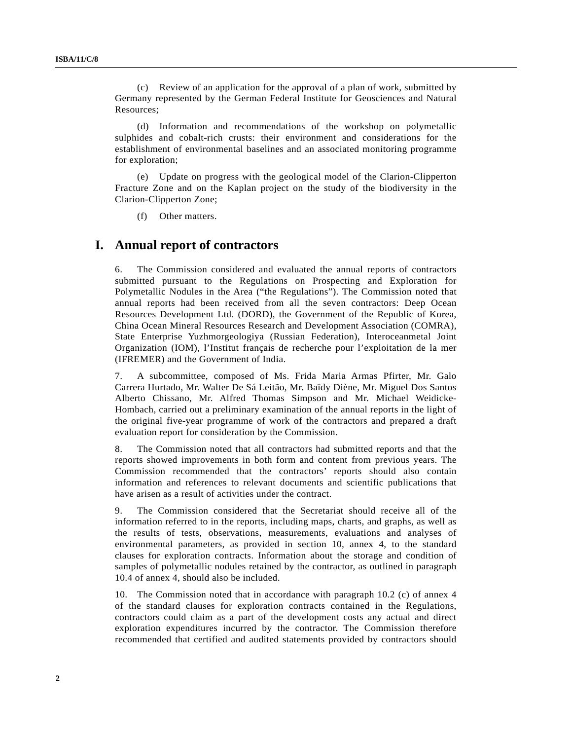(c) Review of an application for the approval of a plan of work, submitted by Germany represented by the German Federal Institute for Geosciences and Natural Resources;

 (d) Information and recommendations of the workshop on polymetallic sulphides and cobalt-rich crusts: their environment and considerations for the establishment of environmental baselines and an associated monitoring programme for exploration;

 (e) Update on progress with the geological model of the Clarion-Clipperton Fracture Zone and on the Kaplan project on the study of the biodiversity in the Clarion-Clipperton Zone;

(f) Other matters.

#### **I. Annual report of contractors**

6. The Commission considered and evaluated the annual reports of contractors submitted pursuant to the Regulations on Prospecting and Exploration for Polymetallic Nodules in the Area ("the Regulations"). The Commission noted that annual reports had been received from all the seven contractors: Deep Ocean Resources Development Ltd. (DORD), the Government of the Republic of Korea, China Ocean Mineral Resources Research and Development Association (COMRA), State Enterprise Yuzhmorgeologiya (Russian Federation), Interoceanmetal Joint Organization (IOM), l'Institut français de recherche pour l'exploitation de la mer (IFREMER) and the Government of India.

7. A subcommittee, composed of Ms. Frida Maria Armas Pfirter, Mr. Galo Carrera Hurtado, Mr. Walter De Sá Leitão, Mr. Baïdy Diène, Mr. Miguel Dos Santos Alberto Chissano, Mr. Alfred Thomas Simpson and Mr. Michael Weidicke-Hombach, carried out a preliminary examination of the annual reports in the light of the original five-year programme of work of the contractors and prepared a draft evaluation report for consideration by the Commission.

8. The Commission noted that all contractors had submitted reports and that the reports showed improvements in both form and content from previous years. The Commission recommended that the contractors' reports should also contain information and references to relevant documents and scientific publications that have arisen as a result of activities under the contract.

9. The Commission considered that the Secretariat should receive all of the information referred to in the reports, including maps, charts, and graphs, as well as the results of tests, observations, measurements, evaluations and analyses of environmental parameters, as provided in section 10, annex 4, to the standard clauses for exploration contracts. Information about the storage and condition of samples of polymetallic nodules retained by the contractor, as outlined in paragraph 10.4 of annex 4, should also be included.

10. The Commission noted that in accordance with paragraph 10.2 (c) of annex 4 of the standard clauses for exploration contracts contained in the Regulations, contractors could claim as a part of the development costs any actual and direct exploration expenditures incurred by the contractor. The Commission therefore recommended that certified and audited statements provided by contractors should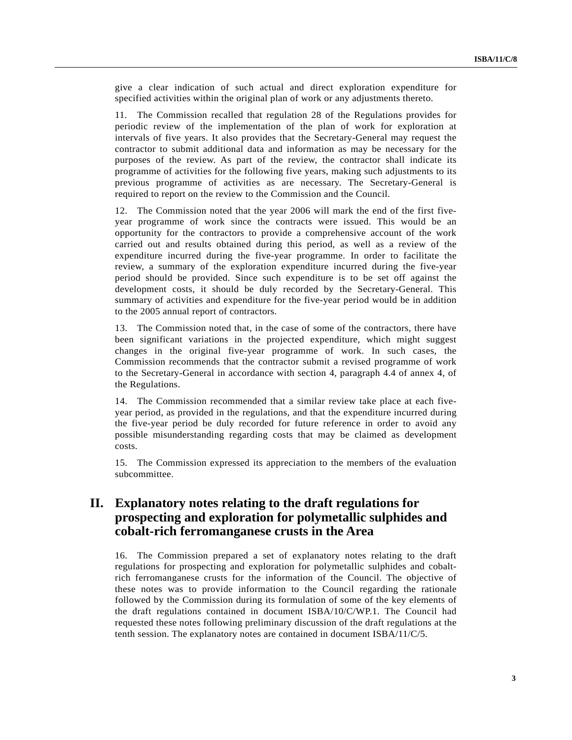give a clear indication of such actual and direct exploration expenditure for specified activities within the original plan of work or any adjustments thereto.

11. The Commission recalled that regulation 28 of the Regulations provides for periodic review of the implementation of the plan of work for exploration at intervals of five years. It also provides that the Secretary-General may request the contractor to submit additional data and information as may be necessary for the purposes of the review. As part of the review, the contractor shall indicate its programme of activities for the following five years, making such adjustments to its previous programme of activities as are necessary. The Secretary-General is required to report on the review to the Commission and the Council.

12. The Commission noted that the year 2006 will mark the end of the first fiveyear programme of work since the contracts were issued. This would be an opportunity for the contractors to provide a comprehensive account of the work carried out and results obtained during this period, as well as a review of the expenditure incurred during the five-year programme. In order to facilitate the review, a summary of the exploration expenditure incurred during the five-year period should be provided. Since such expenditure is to be set off against the development costs, it should be duly recorded by the Secretary-General. This summary of activities and expenditure for the five-year period would be in addition to the 2005 annual report of contractors.

13. The Commission noted that, in the case of some of the contractors, there have been significant variations in the projected expenditure, which might suggest changes in the original five-year programme of work. In such cases, the Commission recommends that the contractor submit a revised programme of work to the Secretary-General in accordance with section 4, paragraph 4.4 of annex 4, of the Regulations.

14. The Commission recommended that a similar review take place at each fiveyear period, as provided in the regulations, and that the expenditure incurred during the five-year period be duly recorded for future reference in order to avoid any possible misunderstanding regarding costs that may be claimed as development costs.

15. The Commission expressed its appreciation to the members of the evaluation subcommittee.

## **II. Explanatory notes relating to the draft regulations for prospecting and exploration for polymetallic sulphides and cobalt-rich ferromanganese crusts in the Area**

16. The Commission prepared a set of explanatory notes relating to the draft regulations for prospecting and exploration for polymetallic sulphides and cobaltrich ferromanganese crusts for the information of the Council. The objective of these notes was to provide information to the Council regarding the rationale followed by the Commission during its formulation of some of the key elements of the draft regulations contained in document ISBA/10/C/WP.1. The Council had requested these notes following preliminary discussion of the draft regulations at the tenth session. The explanatory notes are contained in document ISBA/11/C/5.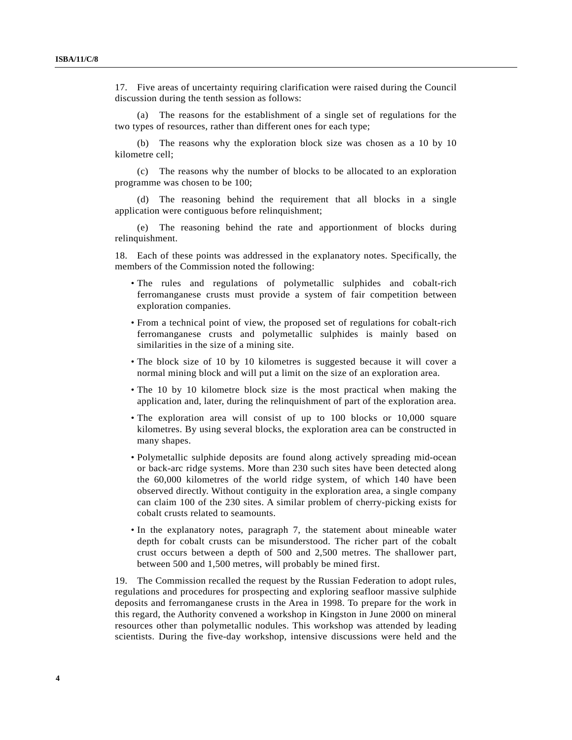17. Five areas of uncertainty requiring clarification were raised during the Council discussion during the tenth session as follows:

 (a) The reasons for the establishment of a single set of regulations for the two types of resources, rather than different ones for each type;

 (b) The reasons why the exploration block size was chosen as a 10 by 10 kilometre cell;

 (c) The reasons why the number of blocks to be allocated to an exploration programme was chosen to be 100;

 (d) The reasoning behind the requirement that all blocks in a single application were contiguous before relinquishment;

 (e) The reasoning behind the rate and apportionment of blocks during relinquishment.

18. Each of these points was addressed in the explanatory notes. Specifically, the members of the Commission noted the following:

- The rules and regulations of polymetallic sulphides and cobalt-rich ferromanganese crusts must provide a system of fair competition between exploration companies.
- From a technical point of view, the proposed set of regulations for cobalt-rich ferromanganese crusts and polymetallic sulphides is mainly based on similarities in the size of a mining site.
- The block size of 10 by 10 kilometres is suggested because it will cover a normal mining block and will put a limit on the size of an exploration area.
- The 10 by 10 kilometre block size is the most practical when making the application and, later, during the relinquishment of part of the exploration area.
- The exploration area will consist of up to 100 blocks or 10,000 square kilometres. By using several blocks, the exploration area can be constructed in many shapes.
- Polymetallic sulphide deposits are found along actively spreading mid-ocean or back-arc ridge systems. More than 230 such sites have been detected along the 60,000 kilometres of the world ridge system, of which 140 have been observed directly. Without contiguity in the exploration area, a single company can claim 100 of the 230 sites. A similar problem of cherry-picking exists for cobalt crusts related to seamounts.
- In the explanatory notes, paragraph 7, the statement about mineable water depth for cobalt crusts can be misunderstood. The richer part of the cobalt crust occurs between a depth of 500 and 2,500 metres. The shallower part, between 500 and 1,500 metres, will probably be mined first.

19. The Commission recalled the request by the Russian Federation to adopt rules, regulations and procedures for prospecting and exploring seafloor massive sulphide deposits and ferromanganese crusts in the Area in 1998. To prepare for the work in this regard, the Authority convened a workshop in Kingston in June 2000 on mineral resources other than polymetallic nodules. This workshop was attended by leading scientists. During the five-day workshop, intensive discussions were held and the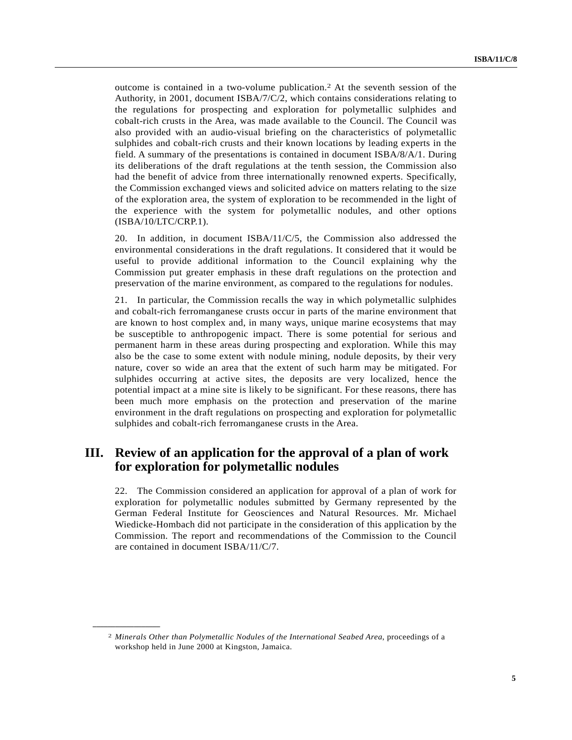outcome is contained in a two-volume publication.2 At the seventh session of the Authority, in 2001, document ISBA/7/C/2, which contains considerations relating to the regulations for prospecting and exploration for polymetallic sulphides and cobalt-rich crusts in the Area, was made available to the Council. The Council was also provided with an audio-visual briefing on the characteristics of polymetallic sulphides and cobalt-rich crusts and their known locations by leading experts in the field. A summary of the presentations is contained in document ISBA/8/A/1. During its deliberations of the draft regulations at the tenth session, the Commission also had the benefit of advice from three internationally renowned experts. Specifically, the Commission exchanged views and solicited advice on matters relating to the size of the exploration area, the system of exploration to be recommended in the light of the experience with the system for polymetallic nodules, and other options (ISBA/10/LTC/CRP.1).

20. In addition, in document ISBA/11/C/5, the Commission also addressed the environmental considerations in the draft regulations. It considered that it would be useful to provide additional information to the Council explaining why the Commission put greater emphasis in these draft regulations on the protection and preservation of the marine environment, as compared to the regulations for nodules.

21. In particular, the Commission recalls the way in which polymetallic sulphides and cobalt-rich ferromanganese crusts occur in parts of the marine environment that are known to host complex and, in many ways, unique marine ecosystems that may be susceptible to anthropogenic impact. There is some potential for serious and permanent harm in these areas during prospecting and exploration. While this may also be the case to some extent with nodule mining, nodule deposits, by their very nature, cover so wide an area that the extent of such harm may be mitigated. For sulphides occurring at active sites, the deposits are very localized, hence the potential impact at a mine site is likely to be significant. For these reasons, there has been much more emphasis on the protection and preservation of the marine environment in the draft regulations on prospecting and exploration for polymetallic sulphides and cobalt-rich ferromanganese crusts in the Area.

### **III. Review of an application for the approval of a plan of work for exploration for polymetallic nodules**

22. The Commission considered an application for approval of a plan of work for exploration for polymetallic nodules submitted by Germany represented by the German Federal Institute for Geosciences and Natural Resources. Mr. Michael Wiedicke-Hombach did not participate in the consideration of this application by the Commission. The report and recommendations of the Commission to the Council are contained in document ISBA/11/C/7.

**\_\_\_\_\_\_\_\_\_\_\_\_\_\_\_\_\_\_** 

<sup>2</sup> *Minerals Other than Polymetallic Nodules of the International Seabed Area*, proceedings of a workshop held in June 2000 at Kingston, Jamaica.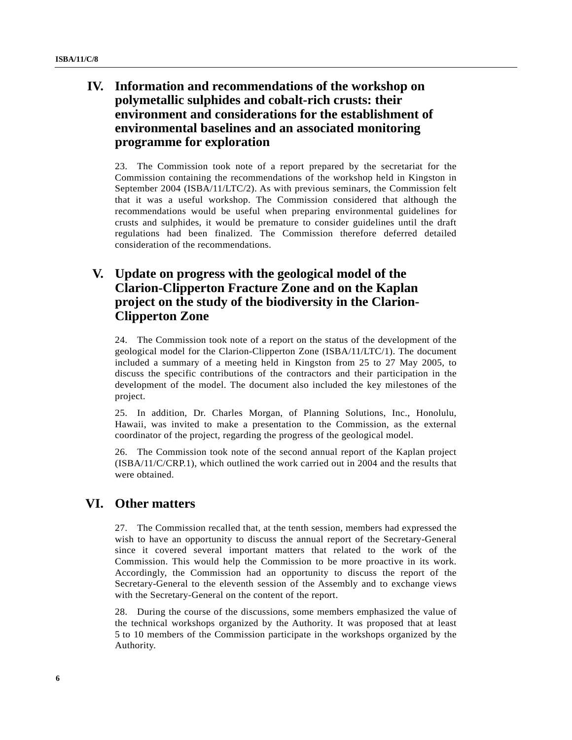## **IV. Information and recommendations of the workshop on polymetallic sulphides and cobalt-rich crusts: their environment and considerations for the establishment of environmental baselines and an associated monitoring programme for exploration**

23. The Commission took note of a report prepared by the secretariat for the Commission containing the recommendations of the workshop held in Kingston in September 2004 (ISBA/11/LTC/2). As with previous seminars, the Commission felt that it was a useful workshop. The Commission considered that although the recommendations would be useful when preparing environmental guidelines for crusts and sulphides, it would be premature to consider guidelines until the draft regulations had been finalized. The Commission therefore deferred detailed consideration of the recommendations.

# **V. Update on progress with the geological model of the Clarion-Clipperton Fracture Zone and on the Kaplan project on the study of the biodiversity in the Clarion-Clipperton Zone**

24. The Commission took note of a report on the status of the development of the geological model for the Clarion-Clipperton Zone (ISBA/11/LTC/1). The document included a summary of a meeting held in Kingston from 25 to 27 May 2005, to discuss the specific contributions of the contractors and their participation in the development of the model. The document also included the key milestones of the project.

25. In addition, Dr. Charles Morgan, of Planning Solutions, Inc., Honolulu, Hawaii, was invited to make a presentation to the Commission, as the external coordinator of the project, regarding the progress of the geological model.

26. The Commission took note of the second annual report of the Kaplan project (ISBA/11/C/CRP.1), which outlined the work carried out in 2004 and the results that were obtained.

### **VI. Other matters**

27. The Commission recalled that, at the tenth session, members had expressed the wish to have an opportunity to discuss the annual report of the Secretary-General since it covered several important matters that related to the work of the Commission. This would help the Commission to be more proactive in its work. Accordingly, the Commission had an opportunity to discuss the report of the Secretary-General to the eleventh session of the Assembly and to exchange views with the Secretary-General on the content of the report.

28. During the course of the discussions, some members emphasized the value of the technical workshops organized by the Authority. It was proposed that at least 5 to 10 members of the Commission participate in the workshops organized by the Authority.